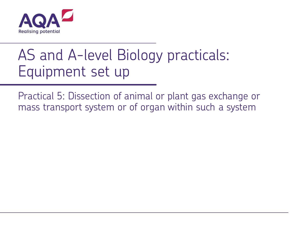

## AS and A-level Biology practicals: Equipment set up

Practical 5: Dissection of animal or plant gas exchange or mass transport system or of organ within such a system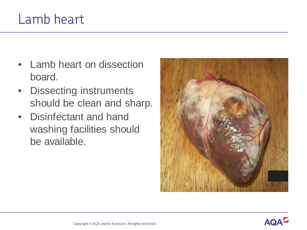## Lamb heart

- Lamb heart on dissection board.
- Dissecting instruments should be clean and sharp.
- Disinfectant and hand washing facilities should be available.

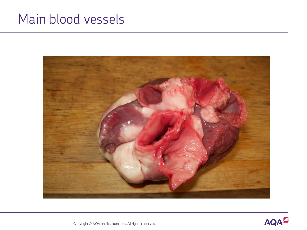## Main blood vessels





Copyright © AQA and its licensors. All rights reserved.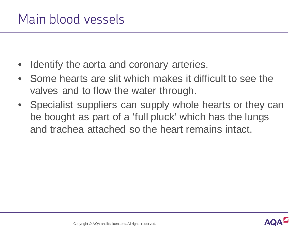- Identify the aorta and coronary arteries.
- Some hearts are slit which makes it difficult to see the valves and to flow the water through.
- Specialist suppliers can supply whole hearts or they can be bought as part of a 'full pluck' which has the lungs and trachea attached so the heart remains intact.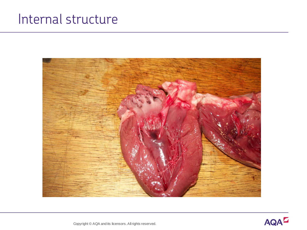## Internal structure